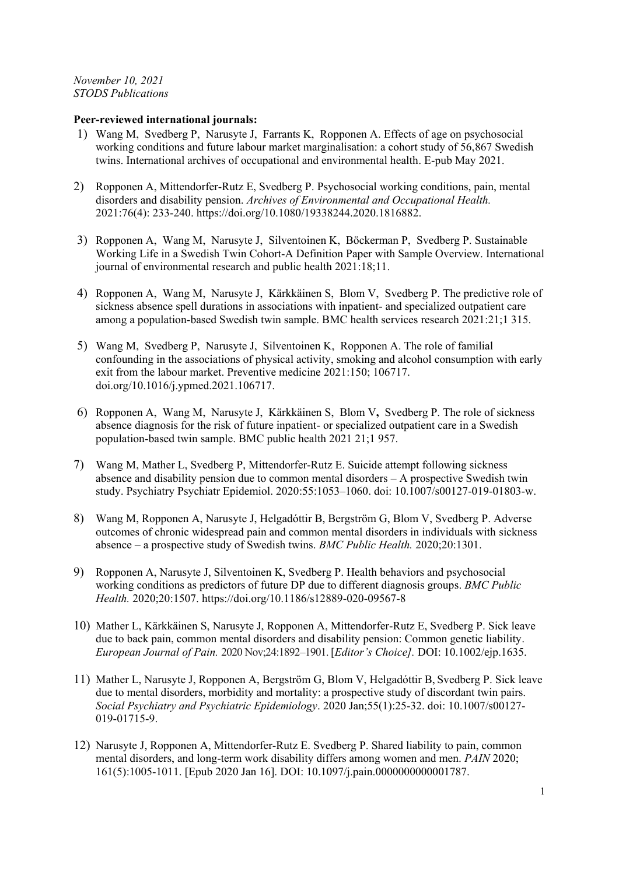#### *November 10, 2021 STODS Publications*

### **Peer-reviewed international journals:**

- 1) Wang M, Svedberg P, Narusyte J, Farrants K, Ropponen A. Effects of age on psychosocial working conditions and future labour market marginalisation: a cohort study of 56,867 Swedish twins. International archives of occupational and environmental health. E-pub May 2021.
- 2) Ropponen A, Mittendorfer-Rutz E, Svedberg P. Psychosocial working conditions, pain, mental disorders and disability pension. *Archives of Environmental and Occupational Health.* 2021:76(4): 233-240. https://doi.org/10.1080/19338244.2020.1816882.
- 3) Ropponen A, Wang M, Narusyte J, Silventoinen K, Böckerman P, Svedberg P. Sustainable Working Life in a Swedish Twin Cohort-A Definition Paper with Sample Overview. International journal of environmental research and public health 2021:18;11.
- 4) Ropponen A, Wang M, Narusyte J, Kärkkäinen S, Blom V, Svedberg P. The predictive role of sickness absence spell durations in associations with inpatient- and specialized outpatient care among a population-based Swedish twin sample. BMC health services research 2021:21;1 315.
- 5) Wang M, Svedberg P, Narusyte J, Silventoinen K, Ropponen A. The role of familial confounding in the associations of physical activity, smoking and alcohol consumption with early exit from the labour market. Preventive medicine 2021:150; 106717. [doi.org/10.1016/j.ypmed.2021.106717.](https://doi.org/10.1016/j.ypmed.2021.106717)
- 6) Ropponen A, Wang M, Narusyte J, Kärkkäinen S, Blom V**,** Svedberg P. The role of sickness absence diagnosis for the risk of future inpatient- or specialized outpatient care in a Swedish population-based twin sample. BMC public health 2021 21;1 957.
- 7) Wang M, Mather L, Svedberg P, Mittendorfer-Rutz E. Suicide attempt following sickness absence and disability pension due to common mental disorders – A prospective Swedish twin study. Psychiatry Psychiatr Epidemiol. 2020:55:1053–1060. doi: 10.1007/s00127-019-01803-w.
- 8) Wang M, Ropponen A, Narusyte J, Helgadóttir B, Bergström G, Blom V, Svedberg P. Adverse outcomes of chronic widespread pain and common mental disorders in individuals with sickness absence – a prospective study of Swedish twins. *BMC Public Health.* 2020;20:1301.
- 9) Ropponen A, Narusyte J, Silventoinen K, Svedberg P. Health behaviors and psychosocial working conditions as predictors of future DP due to different diagnosis groups. *BMC Public Health.* 2020;20:1507.<https://doi.org/10.1186/s12889-020-09567-8>
- 10) Mather L, Kärkkäinen S, Narusyte J, Ropponen A, Mittendorfer-Rutz E, Svedberg P. Sick leave due to back pain, common mental disorders and disability pension: Common genetic liability. *European Journal of Pain.* 2020 Nov;24:1892–1901. [*Editor's Choice].* DOI: 10.1002/ejp.1635.
- 11) Mather L, Narusyte J, Ropponen A, Bergström G, Blom V, Helgadóttir B, Svedberg P. Sick leave due to mental disorders, morbidity and mortality: a prospective study of discordant twin pairs. *Social Psychiatry and Psychiatric Epidemiology*. 2020 Jan;55(1):25-32. doi: 10.1007/s00127- 019-01715-9.
- 12) Narusyte J, Ropponen A, Mittendorfer-Rutz E. Svedberg P. Shared liability to pain, common mental disorders, and long-term work disability differs among women and men. *PAIN* 2020; 161(5):1005-1011. [Epub 2020 Jan 16]. DOI: 10.1097/j.pain.0000000000001787.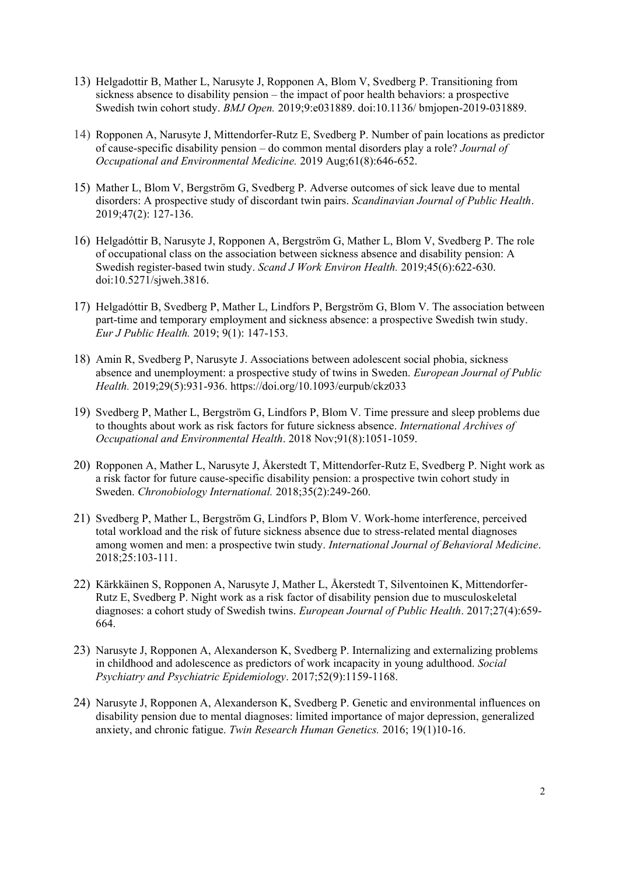- 13) Helgadottir B, Mather L, Narusyte J, Ropponen A, Blom V, Svedberg P. Transitioning from sickness absence to disability pension – the impact of poor health behaviors: a prospective Swedish twin cohort study. *BMJ Open.* 2019;9:e031889. doi:10.1136/ bmjopen-2019-031889.
- 14) Ropponen A, Narusyte J, Mittendorfer-Rutz E, Svedberg P. Number of pain locations as predictor of cause-specific disability pension – do common mental disorders play a role? *Journal of Occupational and Environmental Medicine.* 2019 Aug;61(8):646-652.
- 15) Mather L, Blom V, Bergström G, Svedberg P. Adverse outcomes of sick leave due to mental disorders: A prospective study of discordant twin pairs. *Scandinavian Journal of Public Health*. 2019;47(2): 127-136.
- 16) Helgadóttir B, Narusyte J, Ropponen A, Bergström G, Mather L, Blom V, Svedberg P. The role of occupational class on the association between sickness absence and disability pension: A Swedish register-based twin study. *Scand J Work Environ Health.* [2019;45\(6\):](https://www.sjweh.fi/show_issue.php?issue_id=339)622-630. doi:10.5271/sjweh.3816.
- 17) Helgadóttir B, Svedberg P, Mather L, Lindfors P, Bergström G, Blom V. The association between part-time and temporary employment and sickness absence: a prospective Swedish twin study. *[Eur J Public Health.](https://www.ncbi.nlm.nih.gov/pubmed/30084947)* 2019; 9(1): 147-153.
- 18) Amin R, Svedberg P, Narusyte J. Associations between adolescent social phobia, sickness absence and unemployment: a prospective study of twins in Sweden. *European Journal of Public Health.* 2019;29(5):931-936.<https://doi.org/10.1093/eurpub/ckz033>
- 19) Svedberg P, Mather L, Bergström G, Lindfors P, Blom V. Time pressure and sleep problems due to thoughts about work as risk factors for future sickness absence. *International Archives of Occupational and Environmental Health*. 2018 Nov;91(8):1051-1059.
- 20) Ropponen A, Mather L, Narusyte J, Åkerstedt T, Mittendorfer-Rutz E, Svedberg P. Night work as a risk factor for future cause-specific disability pension: a prospective twin cohort study in Sweden. *Chronobiology International.* 2018;35(2):249-260.
- 21) Svedberg P, Mather L, Bergström G, Lindfors P, Blom V. Work-home interference, perceived total workload and the risk of future sickness absence due to stress-related mental diagnoses among women and men: a prospective twin study. *International Journal of Behavioral Medicine*. 2018;25:103-111.
- 22) Kärkkäinen S, Ropponen A, Narusyte J, Mather L, Åkerstedt T, Silventoinen K, Mittendorfer-Rutz E, Svedberg P. Night work as a risk factor of disability pension due to musculoskeletal diagnoses: a cohort study of Swedish twins. *European Journal of Public Health*. 2017;27(4):659- 664.
- 23) Narusyte J, Ropponen A, Alexanderson K, Svedberg P. Internalizing and externalizing problems in childhood and adolescence as predictors of work incapacity in young adulthood. *Social Psychiatry and Psychiatric Epidemiology*. 2017;52(9):1159-1168.
- 24) Narusyte J, Ropponen A, Alexanderson K, Svedberg P. Genetic and environmental influences on disability pension due to mental diagnoses: limited importance of major depression, generalized anxiety, and chronic fatigue. *Twin Research Human Genetics.* 2016; 19(1)10-16.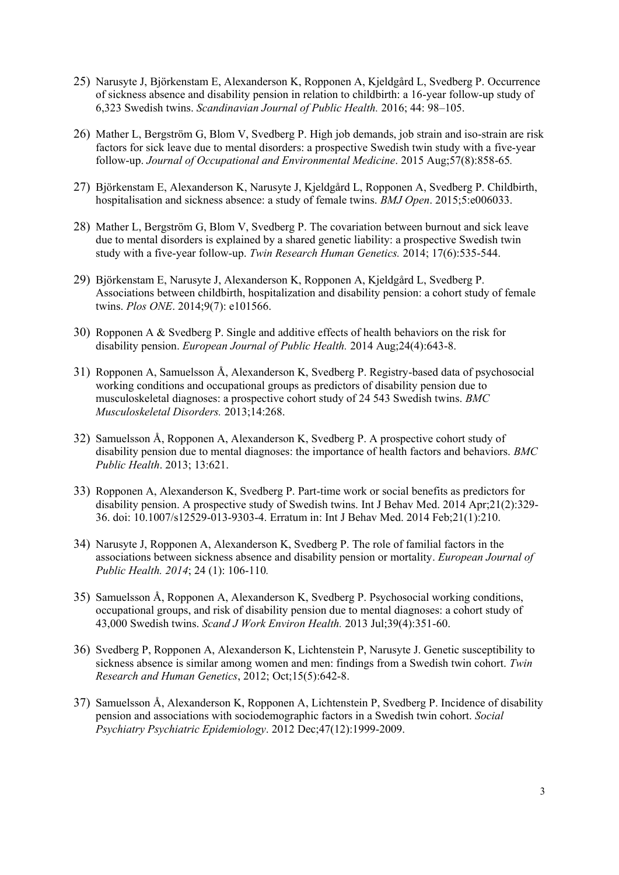- 25) Narusyte J, Björkenstam E, Alexanderson K, Ropponen A, Kjeldgård L, Svedberg P. Occurrence of sickness absence and disability pension in relation to childbirth: a 16-year follow-up study of 6,323 Swedish twins. *Scandinavian Journal of Public Health.* 2016; 44: 98–105.
- 26) Mather L, Bergström G, Blom V, Svedberg P. High job demands, job strain and iso-strain are risk factors for sick leave due to mental disorders: a prospective Swedish twin study with a five-year follow-up. *Journal of Occupational and Environmental Medicine*. 2015 Aug;57(8):858-65*.*
- 27) Björkenstam E, Alexanderson K, Narusyte J, Kjeldgård L, Ropponen A, Svedberg P. Childbirth, hospitalisation and sickness absence: a study of female twins. *BMJ Open*. 2015;5:e006033.
- 28) Mather L, Bergström G, Blom V, Svedberg P. The covariation between burnout and sick leave due to mental disorders is explained by a shared genetic liability: a prospective Swedish twin study with a five-year follow-up. *Twin Research Human Genetics.* 2014; 17(6):535-544.
- 29) Björkenstam E, Narusyte J, Alexanderson K, Ropponen A, Kjeldgård L, Svedberg P. Associations between childbirth, hospitalization and disability pension: a cohort study of female twins. *Plos ONE*. 2014;9(7): e101566.
- 30) Ropponen A & Svedberg P. Single and additive effects of health behaviors on the risk for disability pension. *European Journal of Public Health.* 2014 Aug;24(4):643-8.
- 31) Ropponen A, Samuelsson Å, Alexanderson K, Svedberg P. Registry-based data of psychosocial working conditions and occupational groups as predictors of disability pension due to musculoskeletal diagnoses: a prospective cohort study of 24 543 Swedish twins. *BMC Musculoskeletal Disorders.* 2013;14:268.
- 32) Samuelsson Å, Ropponen A, Alexanderson K, Svedberg P. A prospective cohort study of disability pension due to mental diagnoses: the importance of health factors and behaviors. *BMC Public Health*. 2013; 13:621.
- 33) Ropponen A, Alexanderson K, Svedberg P. Part-time work or social benefits as predictors for disability pension. A prospective study of Swedish twins. Int J Behav Med. 2014 Apr;21(2):329- 36. doi: 10.1007/s12529-013-9303-4. Erratum in: Int J Behav Med. 2014 Feb;21(1):210.
- 34) Narusyte J, Ropponen A, Alexanderson K, Svedberg P. The role of familial factors in the associations between sickness absence and disability pension or mortality. *European Journal of Public Health. 2014*; 24 (1): 106-110*.*
- 35) Samuelsson Å, Ropponen A, Alexanderson K, Svedberg P. Psychosocial working conditions, occupational groups, and risk of disability pension due to mental diagnoses: a cohort study of 43,000 Swedish twins. *Scand J Work Environ Health.* 2013 Jul;39(4):351-60.
- 36) Svedberg P, Ropponen A, Alexanderson K, Lichtenstein P, Narusyte J. Genetic susceptibility to sickness absence is similar among women and men: findings from a Swedish twin cohort. *Twin Research and Human Genetics*, 2012; Oct;15(5):642-8.
- 37) Samuelsson Å, Alexanderson K, Ropponen A, Lichtenstein P, Svedberg P. Incidence of disability pension and associations with sociodemographic factors in a Swedish twin cohort. *Social Psychiatry Psychiatric Epidemiology*. 2012 Dec;47(12):1999-2009.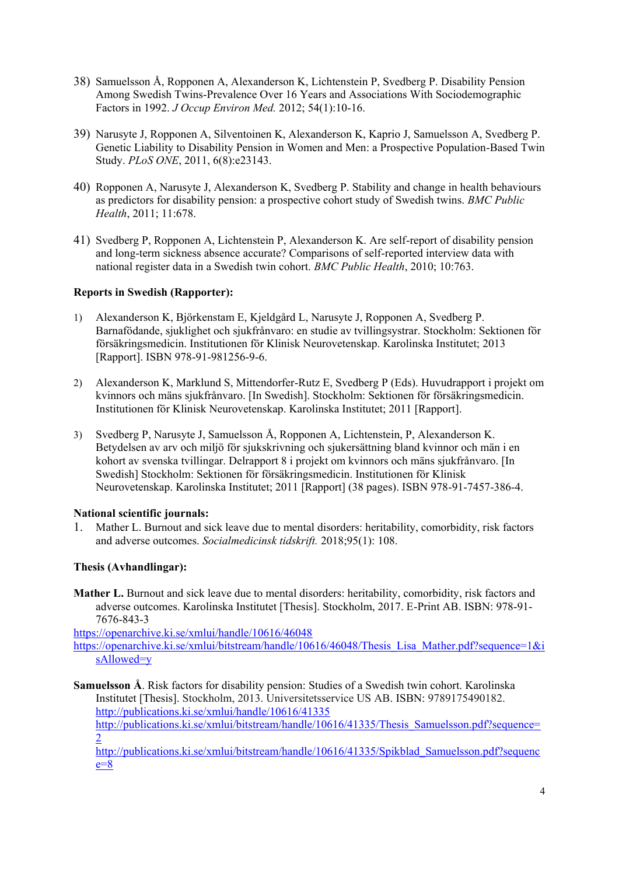- 38) Samuelsson Å, Ropponen A, Alexanderson K, Lichtenstein P, Svedberg P. Disability Pension Among Swedish Twins-Prevalence Over 16 Years and Associations With Sociodemographic Factors in 1992. *J Occup Environ Med.* 2012; 54(1):10-16.
- 39) Narusyte J, Ropponen A, Silventoinen K, Alexanderson K, Kaprio J, Samuelsson A, Svedberg P. Genetic Liability to Disability Pension in Women and Men: a Prospective Population-Based Twin Study. *PLoS ONE*, 2011, 6(8):e23143.
- 40) Ropponen A, Narusyte J, Alexanderson K, Svedberg P. Stability and change in health behaviours as predictors for disability pension: a prospective cohort study of Swedish twins. *BMC Public Health*, 2011; 11:678.
- 41) Svedberg P, Ropponen A, Lichtenstein P, Alexanderson K. Are self-report of disability pension and long-term sickness absence accurate? Comparisons of self-reported interview data with national register data in a Swedish twin cohort. *BMC Public Health*, 2010; 10:763.

## **Reports in Swedish (Rapporter):**

- 1) Alexanderson K, Björkenstam E, Kjeldgård L, Narusyte J, Ropponen A, Svedberg P. Barnafödande, sjuklighet och sjukfrånvaro: en studie av tvillingsystrar. Stockholm: Sektionen för försäkringsmedicin. Institutionen för Klinisk Neurovetenskap. Karolinska Institutet; 2013 [Rapport]. ISBN 978-91-981256-9-6.
- 2) Alexanderson K, Marklund S, Mittendorfer-Rutz E, Svedberg P (Eds). Huvudrapport i projekt om kvinnors och mäns sjukfrånvaro. [In Swedish]. Stockholm: Sektionen för försäkringsmedicin. Institutionen för Klinisk Neurovetenskap. Karolinska Institutet; 2011 [Rapport].
- 3) Svedberg P, Narusyte J, Samuelsson Å, Ropponen A, Lichtenstein, P, Alexanderson K. Betydelsen av arv och miljö för sjukskrivning och sjukersättning bland kvinnor och män i en kohort av svenska tvillingar. Delrapport 8 i projekt om kvinnors och mäns sjukfrånvaro. [In Swedish] Stockholm: Sektionen för försäkringsmedicin. Institutionen för Klinisk Neurovetenskap. Karolinska Institutet; 2011 [Rapport] (38 pages). ISBN 978-91-7457-386-4.

#### **National scientific journals:**

1. Mather L. Burnout and sick leave due to mental disorders: heritability, comorbidity, risk factors and adverse outcomes. *Socialmedicinsk tidskrift.* 2018;95(1): 108.

# **Thesis (Avhandlingar):**

**Mather L.** Burnout and sick leave due to mental disorders: heritability, comorbidity, risk factors and adverse outcomes. Karolinska Institutet [Thesis]. Stockholm, 2017. E-Print AB. ISBN: 978-91- 7676-843-3

<https://openarchive.ki.se/xmlui/handle/10616/46048> [https://openarchive.ki.se/xmlui/bitstream/handle/10616/46048/Thesis\\_Lisa\\_Mather.pdf?sequence=1&i](https://openarchive.ki.se/xmlui/bitstream/handle/10616/46048/Thesis_Lisa_Mather.pdf?sequence=1&isAllowed=y) [sAllowed=y](https://openarchive.ki.se/xmlui/bitstream/handle/10616/46048/Thesis_Lisa_Mather.pdf?sequence=1&isAllowed=y)

**Samuelsson Å**. Risk factors for disability pension: Studies of a Swedish twin cohort. Karolinska Institutet [Thesis]. Stockholm, 2013. Universitetsservice US AB. ISBN: 9789175490182. <http://publications.ki.se/xmlui/handle/10616/41335> [http://publications.ki.se/xmlui/bitstream/handle/10616/41335/Thesis\\_Samuelsson.pdf?sequence=](http://publications.ki.se/xmlui/bitstream/handle/10616/41335/Thesis_Samuelsson.pdf?sequence=2) [2](http://publications.ki.se/xmlui/bitstream/handle/10616/41335/Thesis_Samuelsson.pdf?sequence=2) [http://publications.ki.se/xmlui/bitstream/handle/10616/41335/Spikblad\\_Samuelsson.pdf?sequenc](http://publications.ki.se/xmlui/bitstream/handle/10616/41335/Spikblad_Samuelsson.pdf?sequence=8)  $e=8$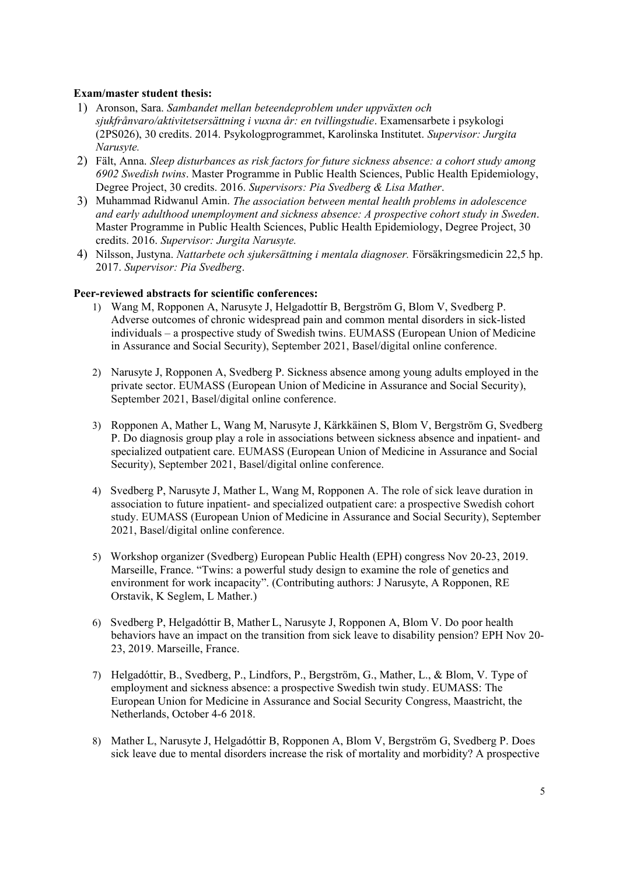## **Exam/master student thesis:**

- 1) Aronson, Sara. *Sambandet mellan beteendeproblem under uppväxten och sjukfrånvaro/aktivitetsersättning i vuxna år: en tvillingstudie*. Examensarbete i psykologi (2PS026), 30 credits. 2014. Psykologprogrammet, Karolinska Institutet. *Supervisor: Jurgita Narusyte.*
- 2) Fält, Anna. *Sleep disturbances as risk factors for future sickness absence: a cohort study among 6902 Swedish twins*. Master Programme in Public Health Sciences, Public Health Epidemiology, Degree Project, 30 credits. 2016. *Supervisors: Pia Svedberg & Lisa Mather*.
- 3) Muhammad Ridwanul Amin. *The association between mental health problems in adolescence and early adulthood unemployment and sickness absence: A prospective cohort study in Sweden*. Master Programme in Public Health Sciences, Public Health Epidemiology, Degree Project, 30 credits. 2016. *Supervisor: Jurgita Narusyte.*
- 4) Nilsson, Justyna. *Nattarbete och sjukersättning i mentala diagnoser.* Försäkringsmedicin 22,5 hp. 2017. *Supervisor: Pia Svedberg*.

#### **Peer-reviewed abstracts for scientific conferences:**

- 1) Wang M, Ropponen A, Narusyte J, Helgadottír B, Bergström G, Blom V, Svedberg P. Adverse outcomes of chronic widespread pain and common mental disorders in sick-listed individuals – a prospective study of Swedish twins. EUMASS (European Union of Medicine in Assurance and Social Security), September 2021, Basel/digital online conference.
- 2) Narusyte J, Ropponen A, Svedberg P. Sickness absence among young adults employed in the private sector. EUMASS (European Union of Medicine in Assurance and Social Security), September 2021, Basel/digital online conference.
- 3) Ropponen A, Mather L, Wang M, Narusyte J, Kärkkäinen S, Blom V, Bergström G, Svedberg P. Do diagnosis group play a role in associations between sickness absence and inpatient- and specialized outpatient care. EUMASS (European Union of Medicine in Assurance and Social Security), September 2021, Basel/digital online conference.
- 4) Svedberg P, Narusyte J, Mather L, Wang M, Ropponen A. The role of sick leave duration in association to future inpatient- and specialized outpatient care: a prospective Swedish cohort study. EUMASS (European Union of Medicine in Assurance and Social Security), September 2021, Basel/digital online conference.
- 5) Workshop organizer (Svedberg) European Public Health (EPH) congress Nov 20-23, 2019. Marseille, France. "Twins: a powerful study design to examine the role of genetics and environment for work incapacity". (Contributing authors: J Narusyte, A Ropponen, RE Orstavik, K Seglem, L Mather.)
- 6) Svedberg P, Helgadóttir B, Mather L, Narusyte J, Ropponen A, Blom V. Do poor health behaviors have an impact on the transition from sick leave to disability pension? EPH Nov 20- 23, 2019. Marseille, France.
- 7) Helgadóttir, B., Svedberg, P., Lindfors, P., Bergström, G., Mather, L., & Blom, V. Type of employment and sickness absence: a prospective Swedish twin study. EUMASS: The European Union for Medicine in Assurance and Social Security Congress, Maastricht, the Netherlands, October 4-6 2018.
- 8) Mather L, Narusyte J, Helgadóttir B, Ropponen A, Blom V, Bergström G, Svedberg P. Does sick leave due to mental disorders increase the risk of mortality and morbidity? A prospective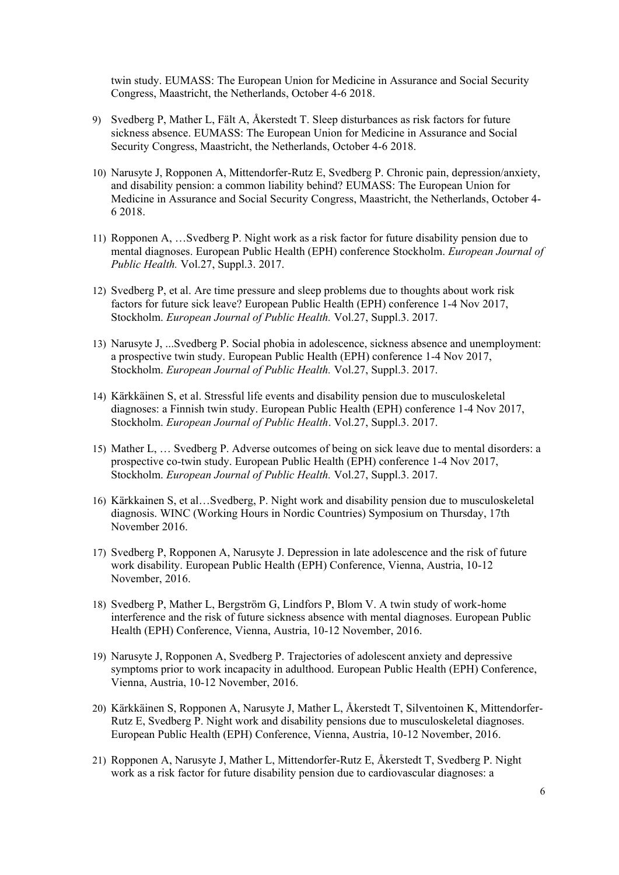twin study. EUMASS: The European Union for Medicine in Assurance and Social Security Congress, Maastricht, the Netherlands, October 4-6 2018.

- 9) Svedberg P, Mather L, Fält A, Åkerstedt T. Sleep disturbances as risk factors for future sickness absence. EUMASS: The European Union for Medicine in Assurance and Social Security Congress, Maastricht, the Netherlands, October 4-6 2018.
- 10) Narusyte J, Ropponen A, Mittendorfer-Rutz E, Svedberg P. Chronic pain, depression/anxiety, and disability pension: a common liability behind? EUMASS: The European Union for Medicine in Assurance and Social Security Congress, Maastricht, the Netherlands, October 4- 6 2018.
- 11) Ropponen A, …Svedberg P. Night work as a risk factor for future disability pension due to mental diagnoses. European Public Health (EPH) conference Stockholm. *European Journal of Public Health.* Vol.27, Suppl.3. 2017.
- 12) Svedberg P, et al. Are time pressure and sleep problems due to thoughts about work risk factors for future sick leave? European Public Health (EPH) conference 1-4 Nov 2017, Stockholm. *European Journal of Public Health.* Vol.27, Suppl.3. 2017.
- 13) Narusyte J, ...Svedberg P. Social phobia in adolescence, sickness absence and unemployment: a prospective twin study. European Public Health (EPH) conference 1-4 Nov 2017, Stockholm. *European Journal of Public Health.* Vol.27, Suppl.3. 2017.
- 14) Kärkkäinen S, et al. Stressful life events and disability pension due to musculoskeletal diagnoses: a Finnish twin study. European Public Health (EPH) conference 1-4 Nov 2017, Stockholm. *European Journal of Public Health*. Vol.27, Suppl.3. 2017.
- 15) Mather L, … Svedberg P. Adverse outcomes of being on sick leave due to mental disorders: a prospective co-twin study. European Public Health (EPH) conference 1-4 Nov 2017, Stockholm. *European Journal of Public Health.* Vol.27, Suppl.3. 2017.
- 16) Kärkkainen S, et al…Svedberg, P. Night work and disability pension due to musculoskeletal diagnosis. WINC (Working Hours in Nordic Countries) Symposium on Thursday, 17th November 2016.
- 17) Svedberg P, Ropponen A, Narusyte J. Depression in late adolescence and the risk of future work disability. European Public Health (EPH) Conference, Vienna, Austria, 10-12 November, 2016.
- 18) Svedberg P, Mather L, Bergström G, Lindfors P, Blom V. A twin study of work-home interference and the risk of future sickness absence with mental diagnoses. European Public Health (EPH) Conference, Vienna, Austria, 10-12 November, 2016.
- 19) Narusyte J, Ropponen A, Svedberg P. Trajectories of adolescent anxiety and depressive symptoms prior to work incapacity in adulthood. European Public Health (EPH) Conference, Vienna, Austria, 10-12 November, 2016.
- 20) Kärkkäinen S, Ropponen A, Narusyte J, Mather L, Åkerstedt T, Silventoinen K, Mittendorfer-Rutz E, Svedberg P. Night work and disability pensions due to musculoskeletal diagnoses. European Public Health (EPH) Conference, Vienna, Austria, 10-12 November, 2016.
- 21) Ropponen A, Narusyte J, Mather L, Mittendorfer-Rutz E, Åkerstedt T, Svedberg P. Night work as a risk factor for future disability pension due to cardiovascular diagnoses: a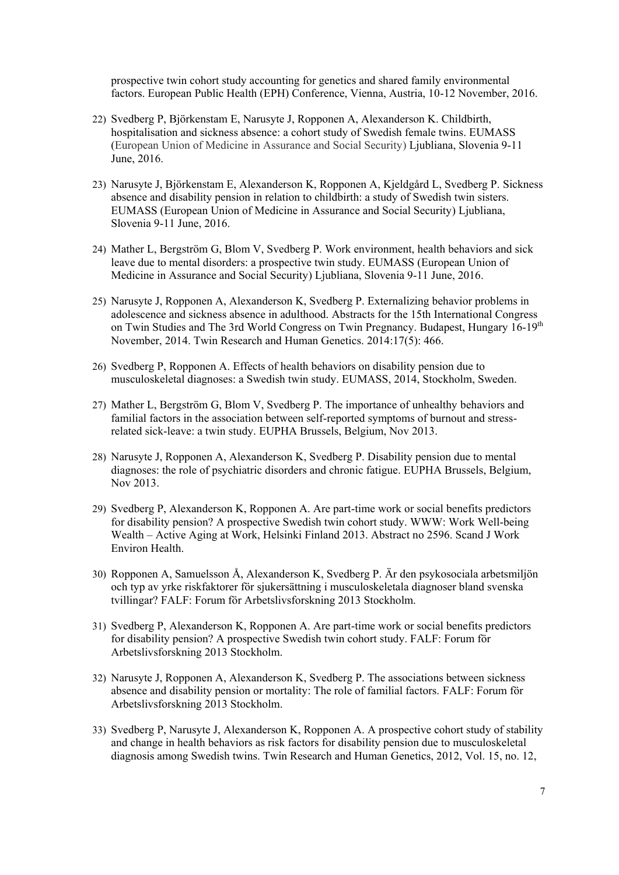prospective twin cohort study accounting for genetics and shared family environmental factors. European Public Health (EPH) Conference, Vienna, Austria, 10-12 November, 2016.

- 22) Svedberg P, Björkenstam E, Narusyte J, Ropponen A, Alexanderson K. Childbirth, hospitalisation and sickness absence: a cohort study of Swedish female twins. EUMASS (European Union of Medicine in Assurance and Social Security) Ljubliana, Slovenia 9-11 June, 2016.
- 23) Narusyte J, Björkenstam E, Alexanderson K, Ropponen A, Kjeldgård L, Svedberg P. Sickness absence and disability pension in relation to childbirth: a study of Swedish twin sisters. EUMASS (European Union of Medicine in Assurance and Social Security) Ljubliana, Slovenia 9-11 June, 2016.
- 24) Mather L, Bergström G, Blom V, Svedberg P. Work environment, health behaviors and sick leave due to mental disorders: a prospective twin study. EUMASS (European Union of Medicine in Assurance and Social Security) Ljubliana, Slovenia 9-11 June, 2016.
- 25) Narusyte J, Ropponen A, Alexanderson K, Svedberg P. Externalizing behavior problems in adolescence and sickness absence in adulthood. Abstracts for the 15th International Congress on Twin Studies and The 3rd World Congress on Twin Pregnancy. Budapest, Hungary 16-19<sup>th</sup> November, 2014. Twin Research and Human Genetics. 2014:17(5): 466.
- 26) Svedberg P, Ropponen A. Effects of health behaviors on disability pension due to musculoskeletal diagnoses: a Swedish twin study. EUMASS, 2014, Stockholm, Sweden.
- 27) Mather L, Bergström G, Blom V, Svedberg P. The importance of unhealthy behaviors and familial factors in the association between self-reported symptoms of burnout and stressrelated sick-leave: a twin study. EUPHA Brussels, Belgium, Nov 2013.
- 28) Narusyte J, Ropponen A, Alexanderson K, Svedberg P. Disability pension due to mental diagnoses: the role of psychiatric disorders and chronic fatigue. EUPHA Brussels, Belgium, Nov 2013.
- 29) Svedberg P, Alexanderson K, Ropponen A. Are part-time work or social benefits predictors for disability pension? A prospective Swedish twin cohort study. WWW: Work Well-being Wealth – Active Aging at Work, Helsinki Finland 2013. Abstract no 2596. Scand J Work Environ Health.
- 30) Ropponen A, Samuelsson Å, Alexanderson K, Svedberg P. Är den psykosociala arbetsmiljön och typ av yrke riskfaktorer för sjukersättning i musculoskeletala diagnoser bland svenska tvillingar? FALF: Forum för Arbetslivsforskning 2013 Stockholm.
- 31) Svedberg P, Alexanderson K, Ropponen A. Are part-time work or social benefits predictors for disability pension? A prospective Swedish twin cohort study. FALF: Forum för Arbetslivsforskning 2013 Stockholm.
- 32) Narusyte J, Ropponen A, Alexanderson K, Svedberg P. The associations between sickness absence and disability pension or mortality: The role of familial factors. FALF: Forum för Arbetslivsforskning 2013 Stockholm.
- 33) Svedberg P, Narusyte J, Alexanderson K, Ropponen A. A prospective cohort study of stability and change in health behaviors as risk factors for disability pension due to musculoskeletal diagnosis among Swedish twins. Twin Research and Human Genetics, 2012, Vol. 15, no. 12,